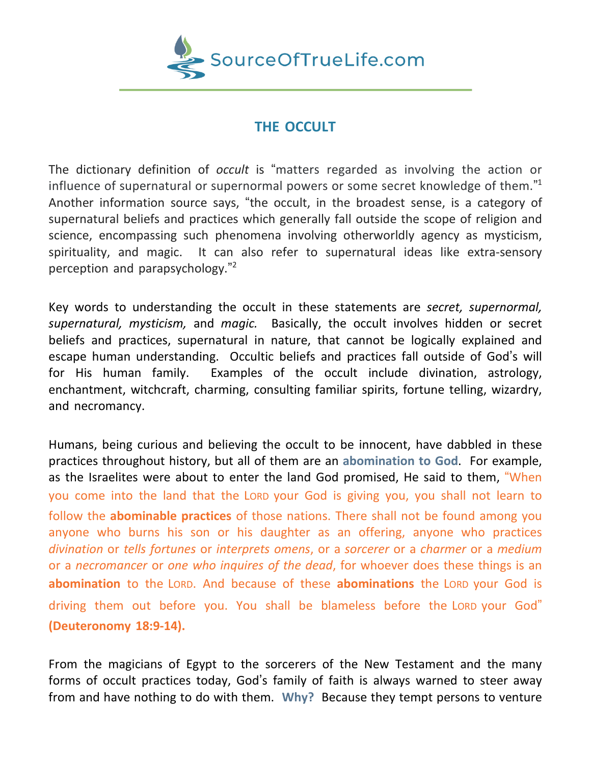

# **THE OCCULT**

The dictionary definition of *occult* is "matters regarded as involving the action or influence of supernatural or supernormal powers or some secret knowledge of them." 1 Another information source says, "the occult, in the broadest sense, is a category of supernatural beliefs and practices which generally fall outside the scope of religion and science, encompassing such phenomena involving otherworldly agency as mysticism, spirituality, and magic. It can also refer to supernatural ideas like extra-sensory perception and parapsychology." 2

Key words to understanding the occult in these statements are *secret, supernormal, supernatural, mysticism,* and *magic.* Basically, the occult involves hidden or secret beliefs and practices, supernatural in nature, that cannot be logically explained and escape human understanding. Occultic beliefs and practices fall outside of God's will for His human family. Examples of the occult include divination, astrology, enchantment, witchcraft, charming, consulting familiar spirits, fortune telling, wizardry, and necromancy.

Humans, being curious and believing the occult to be innocent, have dabbled in these practices throughout history, but all of them are an **abomination to God**. For example, as the Israelites were about to enter the land God promised, He said to them, "When you come into the land that the LORD your God is giving you, you shall not learn to follow the **abominable practices** of those nations. There shall not be found among you anyone who burns his son or his daughter as an offering, anyone who practices *divination* or *tells fortunes* or *interprets omens*, or a *sorcerer* or a *charmer* or a *medium* or a *necromancer* or *one who inquires of the dead*, for whoever does these things is an **abomination** to the LORD. And because of these **abominations** the LORD your God is driving them out before you. You shall be blameless before the LORD your God" **(Deuteronomy 18:9-14).**

From the magicians of Egypt to the sorcerers of the New Testament and the many forms of occult practices today, God's family of faith is always warned to steer away from and have nothing to do with them. **Why?** Because they tempt persons to venture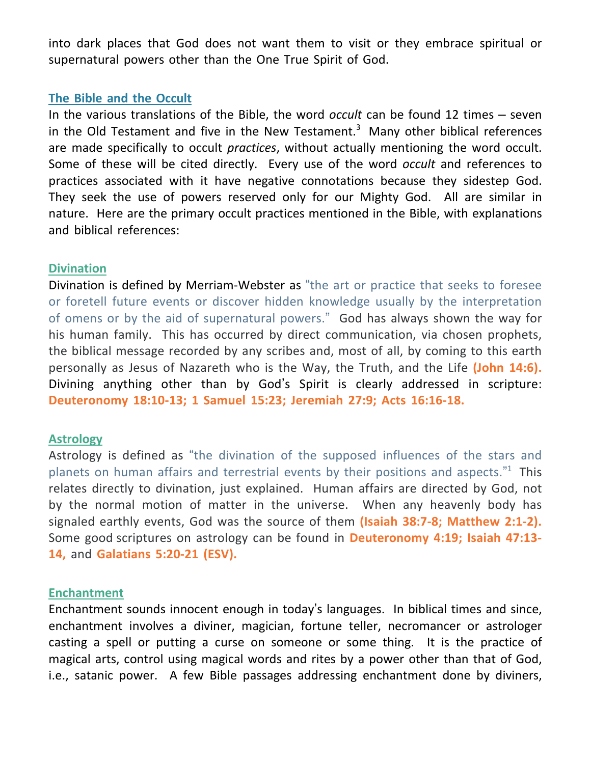into dark places that God does not want them to visit or they embrace spiritual or supernatural powers other than the One True Spirit of God.

### **The Bible and the Occult**

In the various translations of the Bible, the word *occult* can be found 12 times – seven in the Old Testament and five in the New Testament. $3$  Many other biblical references are made specifically to occult *practices*, without actually mentioning the word occult. Some of these will be cited directly. Every use of the word *occult* and references to practices associated with it have negative connotations because they sidestep God. They seek the use of powers reserved only for our Mighty God. All are similar in nature. Here are the primary occult practices mentioned in the Bible, with explanations and biblical references:

## **Divination**

Divination is defined by Merriam-Webster as "the art or practice that seeks to foresee or foretell future events or discover hidden knowledge usually by the interpretation of omens or by the aid of supernatural powers." God has always shown the way for his human family. This has occurred by direct communication, via chosen prophets, the biblical message recorded by any scribes and, most of all, by coming to this earth personally as Jesus of Nazareth who is the Way, the Truth, and the Life **(John 14:6).** Divining anything other than by God's Spirit is clearly addressed in scripture: **Deuteronomy 18:10-13; 1 Samuel 15:23; Jeremiah 27:9; Acts 16:16-18.**

#### **Astrology**

Astrology is defined as "the divination of the supposed influences of the stars and planets on human affairs and terrestrial events by their positions and aspects."<sup>1</sup> This relates directly to divination, just explained. Human affairs are directed by God, not by the normal motion of matter in the universe. When any heavenly body has signaled earthly events, God was the source of them **(Isaiah 38:7-8; Matthew 2:1-2).** Some good scriptures on astrology can be found in **Deuteronomy 4:19; Isaiah 47:13- 14,** and **Galatians 5:20-21 (ESV).**

#### **Enchantment**

Enchantment sounds innocent enough in today's languages. In biblical times and since, enchantment involves a diviner, magician, fortune teller, necromancer or astrologer casting a spell or putting a curse on someone or some thing. It is the practice of magical arts, control using magical words and rites by a power other than that of God, i.e., satanic power. A few Bible passages addressing enchantment done by diviners,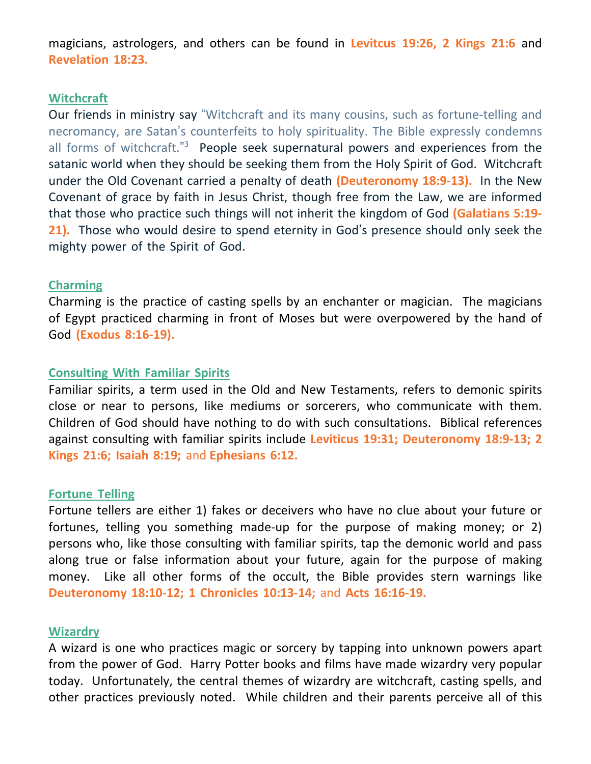magicians, astrologers, and others can be found in **Levitcus 19:26, 2 Kings 21:6** and **Revelation 18:23.**

## **Witchcraft**

Our friends in ministry say "Witchcraft and its many cousins, such as fortune-telling and necromancy, are Satan's counterfeits to holy spirituality. The Bible expressly condemns all forms of witchcraft."<sup>3</sup> People seek supernatural powers and experiences from the satanic world when they should be seeking them from the Holy Spirit of God. Witchcraft under the Old Covenant carried a penalty of death **(Deuteronomy 18:9-13).** In the New Covenant of grace by faith in Jesus Christ, though free from the Law, we are informed that those who practice such things will not inherit the kingdom of God **(Galatians 5:19- 21).** Those who would desire to spend eternity in God's presence should only seek the mighty power of the Spirit of God.

# **Charming**

Charming is the practice of casting spells by an enchanter or magician. The magicians of Egypt practiced charming in front of Moses but were overpowered by the hand of God **(Exodus 8:16-19).**

## **Consulting With Familiar Spirits**

Familiar spirits, a term used in the Old and New Testaments, refers to demonic spirits close or near to persons, like mediums or sorcerers, who communicate with them. Children of God should have nothing to do with such consultations. Biblical references against consulting with familiar spirits include **Leviticus 19:31; Deuteronomy 18:9-13; 2 Kings 21:6; Isaiah 8:19;** and **Ephesians 6:12.**

#### **Fortune Telling**

Fortune tellers are either 1) fakes or deceivers who have no clue about your future or fortunes, telling you something made-up for the purpose of making money; or 2) persons who, like those consulting with familiar spirits, tap the demonic world and pass along true or false information about your future, again for the purpose of making money. Like all other forms of the occult, the Bible provides stern warnings like **Deuteronomy 18:10-12; 1 Chronicles 10:13-14;** and **Acts 16:16-19.**

#### **Wizardry**

A wizard is one who practices magic or sorcery by tapping into unknown powers apart from the power of God. Harry Potter books and films have made wizardry very popular today. Unfortunately, the central themes of wizardry are witchcraft, casting spells, and other practices previously noted. While children and their parents perceive all of this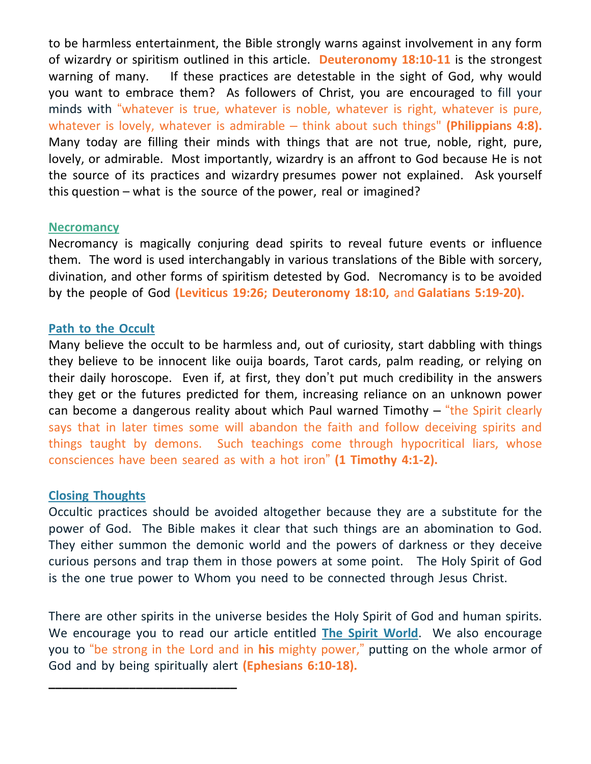to be harmless entertainment, the Bible strongly warns against involvement in any form of wizardry or spiritism outlined in this article. **Deuteronomy 18:10-11** is the strongest warning of many. If these practices are detestable in the sight of God, why would you want to embrace them? As followers of Christ, you are encouraged to fill your minds with "whatever is true, whatever is noble, whatever is right, whatever is pure, whatever is lovely, whatever is admirable – think about such things" **(Philippians 4:8).** Many today are filling their minds with things that are not true, noble, right, pure, lovely, or admirable. Most importantly, wizardry is an affront to God because He is not the source of its practices and wizardry presumes power not explained. Ask yourself this question – what is the source of the power, real or imagined?

## **Necromancy**

Necromancy is magically conjuring dead spirits to reveal future events or influence them. The word is used interchangably in various translations of the Bible with sorcery, divination, and other forms of spiritism detested by God. Necromancy is to be avoided by the people of God **(Leviticus 19:26; Deuteronomy 18:10,** and **Galatians 5:19-20).**

# **Path to the Occult**

Many believe the occult to be harmless and, out of curiosity, start dabbling with things they believe to be innocent like ouija boards, Tarot cards, palm reading, or relying on their daily horoscope. Even if, at first, they don't put much credibility in the answers they get or the futures predicted for them, increasing reliance on an unknown power can become a dangerous reality about which Paul warned Timothy – "the Spirit clearly says that in later times some will abandon the faith and follow deceiving spirits and things taught by demons. Such teachings come through hypocritical liars, whose consciences have been seared as with a hot iron" **(1 Timothy 4:1-2).**

# **Closing Thoughts**

**\_\_\_\_\_\_\_\_\_\_\_\_\_\_\_\_\_\_\_\_\_\_\_\_\_\_\_\_**

Occultic practices should be avoided altogether because they are a substitute for the power of God. The Bible makes it clear that such things are an abomination to God. They either summon the demonic world and the powers of darkness or they deceive curious persons and trap them in those powers at some point. The Holy Spirit of God is the one true power to Whom you need to be connected through Jesus Christ.

There are other spirits in the universe besides the Holy Spirit of God and human spirits. We encourage you to read our article entitled **The Spirit World**. We also encourage you to "be strong in the Lord and in **his** mighty power," putting on the whole armor of God and by being spiritually alert **(Ephesians 6:10-18).**